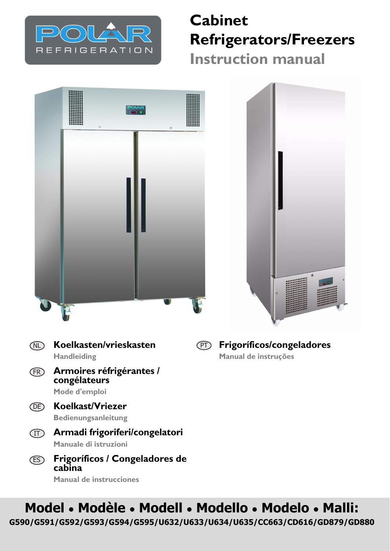

## **Cabinet Refrigerators/Freezers Instruction manual**





- **Koelkasten/vrieskasten Handleiding** NL
- **Armoires réfrigérantes / congélateurs Mode d'emploi** FR
- **Koelkast/Vriezer** DE
	- **Bedienungsanleitung**
	- **Armadi frigoriferi/congelatori** IT **Manuale di istruzioni**
- **Frigoríficos / Congeladores de cabina Manual de instrucciones** ES

**Frigoríficos/congeladores Manual de instruções** PT

# **Model • Modèle • Modell • Modello • Modelo • Malli:**

**G590/G591/G592/G593/G594/G595/U632/U633/U634/U635/CC663/CD616/GD879/GD880**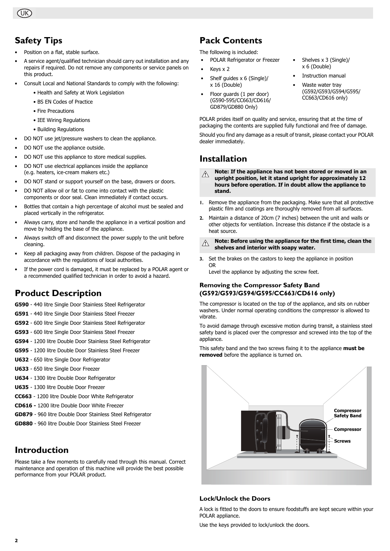UK

## **Safety Tips**

- Position on a flat, stable surface.
- A service agent/qualified technician should carry out installation and any repairs if required. Do not remove any components or service panels on this product.
- Consult Local and National Standards to comply with the following:
	- Health and Safety at Work Legislation
	- BS EN Codes of Practice
	- Fire Precautions
	- IEE Wiring Regulations
	- Building Regulations
- DO NOT use jet/pressure washers to clean the appliance.
- DO NOT use the appliance outside.
- DO NOT use this appliance to store medical supplies.
- DO NOT use electrical appliances inside the appliance (e.g. heaters, ice-cream makers etc.)
- DO NOT stand or support yourself on the base, drawers or doors.
- DO NOT allow oil or fat to come into contact with the plastic components or door seal. Clean immediately if contact occurs.
- Bottles that contain a high percentage of alcohol must be sealed and placed vertically in the refrigerator.
- Always carry, store and handle the appliance in a vertical position and move by holding the base of the appliance.
- Always switch off and disconnect the power supply to the unit before cleaning.
- Keep all packaging away from children. Dispose of the packaging in accordance with the regulations of local authorities.
- If the power cord is damaged, it must be replaced by a POLAR agent or a recommended qualified technician in order to avoid a hazard.

### **Product Description**

**G590** - 440 litre Single Door Stainless Steel Refrigerator

- **G591** 440 litre Single Door Stainless Steel Freezer
- **G592** 600 litre Single Door Stainless Steel Refrigerator
- **G593** 600 litre Single Door Stainless Steel Freezer
- **G594** 1200 litre Double Door Stainless Steel Refrigerator
- **G595** 1200 litre Double Door Stainless Steel Freezer
- **U632** 650 litre Single Door Refrigerator
- **U633** 650 litre Single Door Freezer
- **U634** 1300 litre Double Door Refrigerator
- **U635** 1300 litre Double Door Freezer
- **CC663** 1200 litre Double Door White Refrigerator
- **CD616** 1200 litre Double Door White Freezer
- **GD879** 960 litre Double Door Stainless Steel Refrigerator
- **GD880** 960 litre Double Door Stainless Steel Freezer

### **Introduction**

Please take a few moments to carefully read through this manual. Correct maintenance and operation of this machine will provide the best possible performance from your POLAR product.

### **Pack Contents**

The following is included:

- POLAR Refrigerator or Freezer
- Keys x 2
- Shelf guides x 6 (Single)/ x 16 (Double)
- Floor guards (1 per door) (G590-595/CC663/CD616/ GD879/GD880 Only)
- Shelves x 3 (Single)/ x 6 (Double)
- Instruction manual
- Waste water tray (G592/G593/G594/G595/ CC663/CD616 only)

POLAR prides itself on quality and service, ensuring that at the time of packaging the contents are supplied fully functional and free of damage.

Should you find any damage as a result of transit, please contact your POLAR dealer immediately.

### **Installation**

**Note: If the appliance has not been stored or moved in an**   $\triangle$ **upright position, let it stand upright for approximately 12 hours before operation. If in doubt allow the appliance to stand.**

- **1.** Remove the appliance from the packaging. Make sure that all protective plastic film and coatings are thoroughly removed from all surfaces.
- **2.** Maintain a distance of 20cm (7 inches) between the unit and walls or other objects for ventilation. Increase this distance if the obstacle is a heat source.
- **Note: Before using the appliance for the first time, clean the**   $\triangle$ **shelves and interior with soapy water.**
- **3.** Set the brakes on the castors to keep the appliance in position OR

Level the appliance by adjusting the screw feet.

#### **Removing the Compressor Safety Band (G592/G593/G594/G595/CC663/CD616 only)**

The compressor is located on the top of the appliance, and sits on rubber washers. Under normal operating conditions the compressor is allowed to vibrate.

To avoid damage through excessive motion during transit, a stainless steel safety band is placed over the compressor and screwed into the top of the appliance.

This safety band and the two screws fixing it to the appliance **must be removed** before the appliance is turned on.



#### **Lock/Unlock the Doors**

A lock is fitted to the doors to ensure foodstuffs are kept secure within your POLAR appliance.

Use the keys provided to lock/unlock the doors.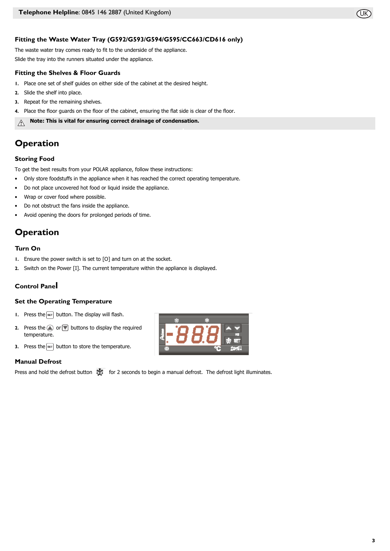

The waste water tray comes ready to fit to the underside of the appliance. Slide the tray into the runners situated under the appliance.

#### **Fitting the Shelves & Floor Guards**

- **1.** Place one set of shelf guides on either side of the cabinet at the desired height.
- **2.** Slide the shelf into place.
- **3.** Repeat for the remaining shelves.
- **4.** Place the floor guards on the floor of the cabinet, ensuring the flat side is clear of the floor.

**Note: This is vital for ensuring correct drainage of condensation.** $\mathcal{A}$ 

### **Operation**

#### **Storing Food**

To get the best results from your POLAR appliance, follow these instructions:

- Only store foodstuffs in the appliance when it has reached the correct operating temperature.
- Do not place uncovered hot food or liquid inside the appliance.
- Wrap or cover food where possible.
- Do not obstruct the fans inside the appliance.
- Avoid opening the doors for prolonged periods of time.

### **Operation**

#### **Turn On**

- **1.** Ensure the power switch is set to [O] and turn on at the socket.
- **2.** Switch on the Power [I]. The current temperature within the appliance is displayed.

### **Control Panel**

#### **Set the Operating Temperature**

- **1.** Press the  $\boxed{\text{ser}}$  button. The display will flash.
- **2.** Press the  $\triangleq$  or  $\overline{\overline{z}}$  buttons to display the required temperature.
- **3.** Press the  $\boxed{\text{ser}}$  button to store the temperature.

#### **Manual Defrost**

Press and hold the defrost button  $\mathbb{R}$  for 2 seconds to begin a manual defrost. The defrost light illuminates.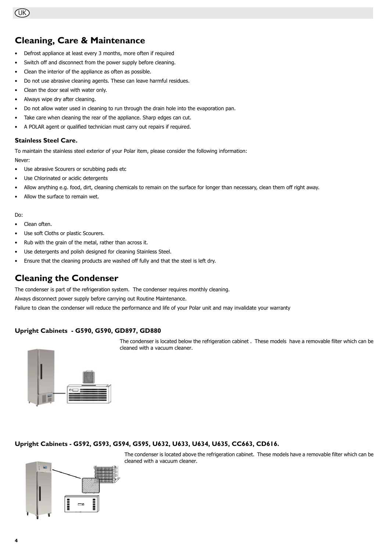### **Cleaning, Care & Maintenance**

- Defrost appliance at least every 3 months, more often if required
- Switch off and disconnect from the power supply before cleaning.
- Clean the interior of the appliance as often as possible.
- Do not use abrasive cleaning agents. These can leave harmful residues.
- Clean the door seal with water only.
- Always wipe dry after cleaning.
- Do not allow water used in cleaning to run through the drain hole into the evaporation pan.
- Take care when cleaning the rear of the appliance. Sharp edges can cut.
- A POLAR agent or qualified technician must carry out repairs if required.

#### **Stainless Steel Care.**

To maintain the stainless steel exterior of your Polar item, please consider the following information: Never:

- Use abrasive Scourers or scrubbing pads etc
- Use Chlorinated or acidic detergents
- Allow anything e.g. food, dirt, cleaning chemicals to remain on the surface for longer than necessary, clean them off right away.
- Allow the surface to remain wet.

#### Do:

- Clean often.
- Use soft Cloths or plastic Scourers.
- Rub with the grain of the metal, rather than across it.
- Use detergents and polish designed for cleaning Stainless Steel.
- Ensure that the cleaning products are washed off fully and that the steel is left dry.

### **Cleaning the Condenser**

The condenser is part of the refrigeration system. The condenser requires monthly cleaning.

Always disconnect power supply before carrying out Routine Maintenance.

Failure to clean the condenser will reduce the performance and life of your Polar unit and may invalidate your warranty

#### **Upright Cabinets - G590, G590, GD897, GD880**

The condenser is located below the refrigeration cabinet . These models have a removable filter which can be cleaned with a vacuum cleaner.



#### **Upright Cabinets - G592, G593, G594, G595, U632, U633, U634, U635, CC663, CD616.**

The condenser is located above the refrigeration cabinet. These models have a removable filter which can be cleaned with a vacuum cleaner.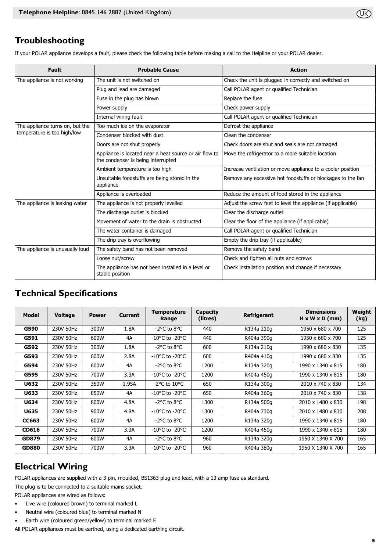### **Troubleshooting**

If your POLAR appliance develops a fault, please check the following table before making a call to the Helpline or your POLAR dealer.

| <b>Fault</b>                                                   | <b>Probable Cause</b>                                                                        | <b>Action</b>                                                |  |  |
|----------------------------------------------------------------|----------------------------------------------------------------------------------------------|--------------------------------------------------------------|--|--|
| The appliance is not working                                   | The unit is not switched on                                                                  | Check the unit is plugged in correctly and switched on       |  |  |
|                                                                | Plug and lead are damaged                                                                    | Call POLAR agent or qualified Technician                     |  |  |
|                                                                | Fuse in the plug has blown                                                                   | Replace the fuse                                             |  |  |
|                                                                | Power supply                                                                                 | Check power supply                                           |  |  |
|                                                                | Internal wiring fault                                                                        | Call POLAR agent or qualified Technician                     |  |  |
| The appliance turns on, but the<br>temperature is too high/low | Too much ice on the evaporator                                                               | Defrost the appliance                                        |  |  |
|                                                                | Condenser blocked with dust                                                                  | Clean the condenser                                          |  |  |
|                                                                | Doors are not shut properly                                                                  | Check doors are shut and seals are not damaged               |  |  |
|                                                                | Appliance is located near a heat source or air flow to<br>the condenser is being interrupted | Move the refrigerator to a more suitable location            |  |  |
|                                                                | Ambient temperature is too high                                                              | Increase ventilation or move appliance to a cooler position  |  |  |
|                                                                | Unsuitable foodstuffs are being stored in the<br>appliance                                   | Remove any excessive hot foodstuffs or blockages to the fan  |  |  |
|                                                                | Appliance is overloaded                                                                      | Reduce the amount of food stored in the appliance            |  |  |
| The appliance is leaking water                                 | The appliance is not properly levelled                                                       | Adjust the screw feet to level the appliance (if applicable) |  |  |
|                                                                | The discharge outlet is blocked                                                              | Clear the discharge outlet                                   |  |  |
|                                                                | Movement of water to the drain is obstructed                                                 | Clear the floor of the appliance (if applicable)             |  |  |
|                                                                | The water container is damaged                                                               | Call POLAR agent or qualified Technician                     |  |  |
|                                                                | The drip tray is overflowing                                                                 | Empty the drip tray (if applicable)                          |  |  |
| The appliance is unusually loud                                | The safety band has not been removed                                                         | Remove the safety band                                       |  |  |
|                                                                | Loose nut/screw                                                                              | Check and tighten all nuts and screws                        |  |  |
|                                                                | The appliance has not been installed in a level or<br>stable position                        | Check installation position and change if necessary          |  |  |

### **Technical Specifications**

| Model        | <b>Voltage</b> | <b>Power</b> | <b>Current</b> | Temperature<br>Range               | Capacity<br>(litres) | <b>Refrigerant</b> | <b>Dimensions</b><br>$H \times W \times D$ (mm) | Weight<br>(kg) |
|--------------|----------------|--------------|----------------|------------------------------------|----------------------|--------------------|-------------------------------------------------|----------------|
| G590         | 230V 50Hz      | 300W         | 1.8A           | $-2$ °C to $8$ °C                  | 440                  | R134a 210g         | 1950 x 680 x 700                                | 125            |
| G591         | 230V 50Hz      | 600W         | 4A             | $-10^{\circ}$ C to $-20^{\circ}$ C | 440                  | R404a 390g         | 1950 x 680 x 700                                | 125            |
| G592         | 230V 50Hz      | 300W         | 1.8A           | $-2$ °C to 8°C                     | 600                  | R134a 210g         | 1990 x 680 x 830                                | 135            |
| G593         | 230V 50Hz      | 600W         | 2.8A           | $-10^{\circ}$ C to $-20^{\circ}$ C | 600                  | R404a 410g         | 1990 x 680 x 830                                | 135            |
| G594         | 230V 50Hz      | 600W         | 4A             | $-2$ °C to 8°C                     | 1200                 | R134a 320g         | 1990 x 1340 x 815                               | 180            |
| G595         | 230V 50Hz      | 700W         | 3.3A           | $-10^{\circ}$ C to $-20^{\circ}$ C | 1200                 | R404a 450g         | 1990 x 1340 x 815                               | 180            |
| U632         | 230V 50Hz      | 350W         | 1.95A          | $-2$ °C to 10°C                    | 650                  | R134a 300g         | 2010 x 740 x 830                                | 134            |
| U633         | 230V 50Hz      | 850W         | 4A             | $-10^{\circ}$ C to $-20^{\circ}$ C | 650                  | R404a 360g         | 2010 x 740 x 830                                | 138            |
| U634         | 230V 50Hz      | 800W         | 4.8A           | $-2$ °C to 8°C                     | 1300                 | R134a 500g         | 2010 x 1480 x 830                               | 198            |
| U635         | 230V 50Hz      | 900W         | 4.8A           | $-10^{\circ}$ C to $-20^{\circ}$ C | 1300                 | R404a 730g         | 2010 x 1480 x 830                               | 208            |
| <b>CC663</b> | 230V 50Hz      | 600W         | 4A             | $-2$ °C to 8°C                     | 1200                 | R134a 320g         | 1990 x 1340 x 815                               | 180            |
| <b>CD616</b> | 230V 50Hz      | 700W         | 3.3A           | $-10^{\circ}$ C to $-20^{\circ}$ C | 1200                 | R404a 450g         | 1990 x 1340 x 815                               | 180            |
| GD879        | 230V 50Hz      | 600W         | 4A             | -2°C to 8°C                        | 960                  | R134a 320g         | 1950 X 1340 X 700                               | 165            |
| <b>GD880</b> | 230V 50Hz      | 700W         | 3.3A           | $-10^{\circ}$ C to $-20^{\circ}$ C | 960                  | R404a 380g         | 1950 X 1340 X 700                               | 165            |

### **Electrical Wiring**

POLAR appliances are supplied with a 3 pin, moulded, BS1363 plug and lead, with a 13 amp fuse as standard.

The plug is to be connected to a suitable mains socket.

POLAR appliances are wired as follows:

- Live wire (coloured brown) to terminal marked L
- Neutral wire (coloured blue) to terminal marked N
- Earth wire (coloured green/yellow) to terminal marked E

All POLAR appliances must be earthed, using a dedicated earthing circuit.